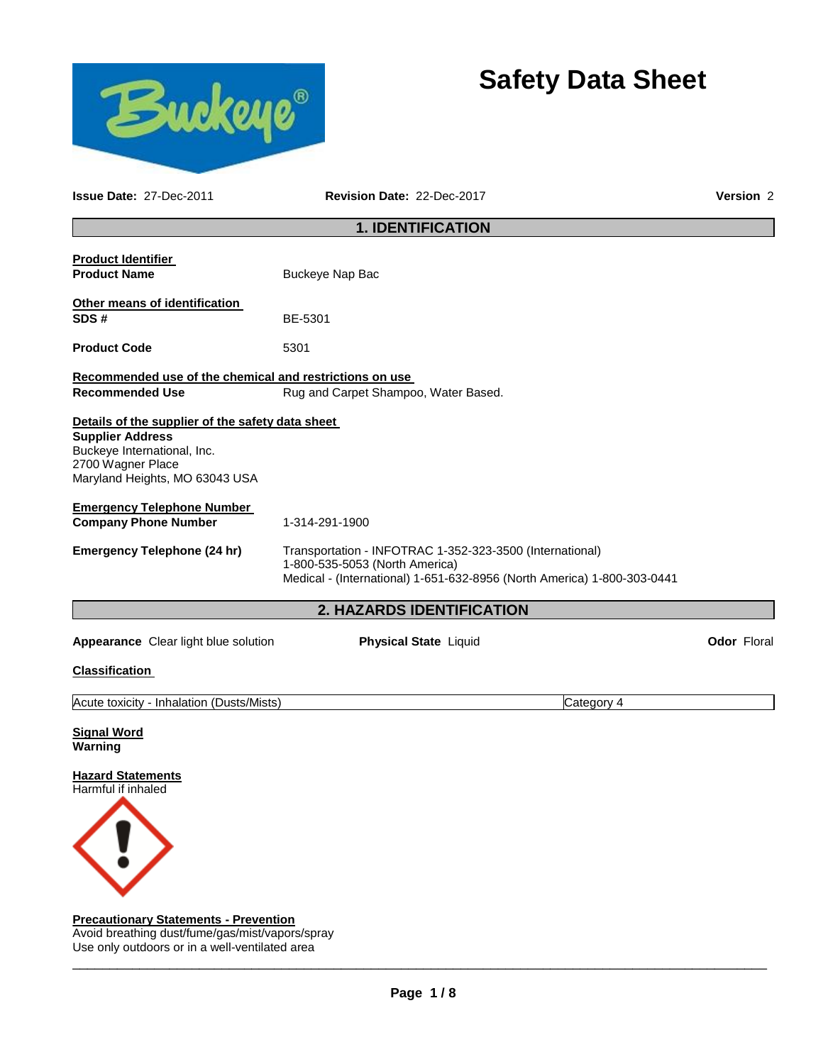



**Issue Date:** 27-Dec-2011 **Revision Date:** 22-Dec-2017 **Version** 2

# **1. IDENTIFICATION**

| <b>Product Identifier</b><br><b>Product Name</b>                                                                                                                  | Buckeye Nap Bac                                                                                                                                                       |                    |
|-------------------------------------------------------------------------------------------------------------------------------------------------------------------|-----------------------------------------------------------------------------------------------------------------------------------------------------------------------|--------------------|
| Other means of identification<br>SDS#                                                                                                                             | BE-5301                                                                                                                                                               |                    |
| <b>Product Code</b>                                                                                                                                               | 5301                                                                                                                                                                  |                    |
| Recommended use of the chemical and restrictions on use<br><b>Recommended Use</b>                                                                                 | Rug and Carpet Shampoo, Water Based.                                                                                                                                  |                    |
| Details of the supplier of the safety data sheet<br><b>Supplier Address</b><br>Buckeye International, Inc.<br>2700 Wagner Place<br>Maryland Heights, MO 63043 USA |                                                                                                                                                                       |                    |
| <b>Emergency Telephone Number</b><br><b>Company Phone Number</b>                                                                                                  | 1-314-291-1900                                                                                                                                                        |                    |
| <b>Emergency Telephone (24 hr)</b>                                                                                                                                | Transportation - INFOTRAC 1-352-323-3500 (International)<br>1-800-535-5053 (North America)<br>Medical - (International) 1-651-632-8956 (North America) 1-800-303-0441 |                    |
|                                                                                                                                                                   | <b>2. HAZARDS IDENTIFICATION</b>                                                                                                                                      |                    |
| <b>Appearance</b> Clear light blue solution                                                                                                                       | <b>Physical State Liquid</b>                                                                                                                                          | <b>Odor Floral</b> |

#### **Classification**

Acute toxicity - Inhalation (Dusts/Mists) Category 4

## **Signal Word Warning**

**Hazard Statements** Harmful if inhaled



**Precautionary Statements - Prevention** Avoid breathing dust/fume/gas/mist/vapors/spray Use only outdoors or in a well-ventilated area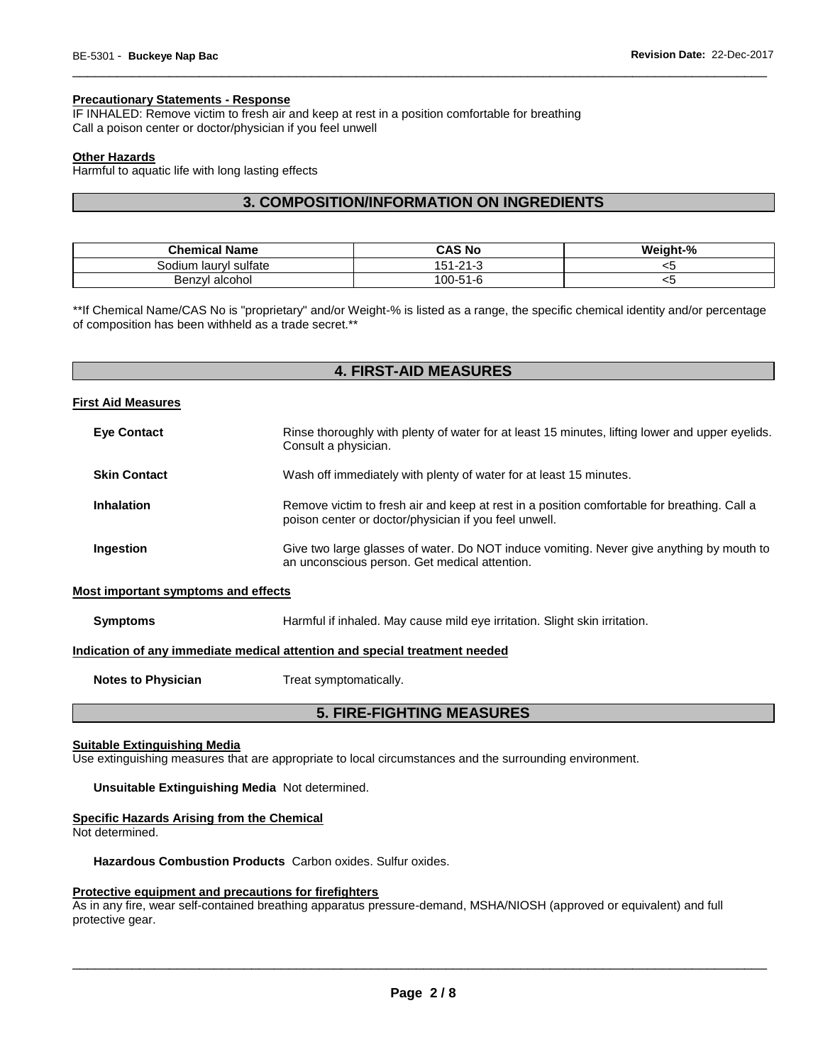# **Precautionary Statements - Response**

IF INHALED: Remove victim to fresh air and keep at rest in a position comfortable for breathing Call a poison center or doctor/physician if you feel unwell

#### **Other Hazards**

Harmful to aquatic life with long lasting effects

# **3. COMPOSITION/INFORMATION ON INGREDIENTS**

\_\_\_\_\_\_\_\_\_\_\_\_\_\_\_\_\_\_\_\_\_\_\_\_\_\_\_\_\_\_\_\_\_\_\_\_\_\_\_\_\_\_\_\_\_\_\_\_\_\_\_\_\_\_\_\_\_\_\_\_\_\_\_\_\_\_\_\_\_\_\_\_\_\_\_\_\_\_\_\_\_\_\_\_\_\_\_\_\_\_\_\_\_

| <b>Chemical Name</b>  | CAS No   | Weight-% |
|-----------------------|----------|----------|
| Sodium laurvl sulfate | 151-21-3 | ∽        |
| Benzyl alcohol        | 100-51-6 | ◡        |

\*\*If Chemical Name/CAS No is "proprietary" and/or Weight-% is listed as a range, the specific chemical identity and/or percentage of composition has been withheld as a trade secret.\*\*

# **4. FIRST-AID MEASURES**

#### **First Aid Measures**

| <b>Eye Contact</b>  | Rinse thoroughly with plenty of water for at least 15 minutes, lifting lower and upper eyelids.<br>Consult a physician.                              |
|---------------------|------------------------------------------------------------------------------------------------------------------------------------------------------|
| <b>Skin Contact</b> | Wash off immediately with plenty of water for at least 15 minutes.                                                                                   |
| <b>Inhalation</b>   | Remove victim to fresh air and keep at rest in a position comfortable for breathing. Call a<br>poison center or doctor/physician if you feel unwell. |
| Ingestion           | Give two large glasses of water. Do NOT induce vomiting. Never give anything by mouth to<br>an unconscious person. Get medical attention.            |

### **Most important symptoms and effects**

**Symptoms** Harmful if inhaled. May cause mild eye irritation. Slight skin irritation.

#### **Indication of any immediate medical attention and special treatment needed**

**Notes to Physician**  Treat symptomatically.

# **5. FIRE-FIGHTING MEASURES**

# **Suitable Extinguishing Media**

Use extinguishing measures that are appropriate to local circumstances and the surrounding environment.

#### **Unsuitable Extinguishing Media** Not determined.

#### **Specific Hazards Arising from the Chemical**

Not determined.

**Hazardous Combustion Products** Carbon oxides. Sulfur oxides.

#### **Protective equipment and precautions for firefighters**

As in any fire, wear self-contained breathing apparatus pressure-demand, MSHA/NIOSH (approved or equivalent) and full protective gear.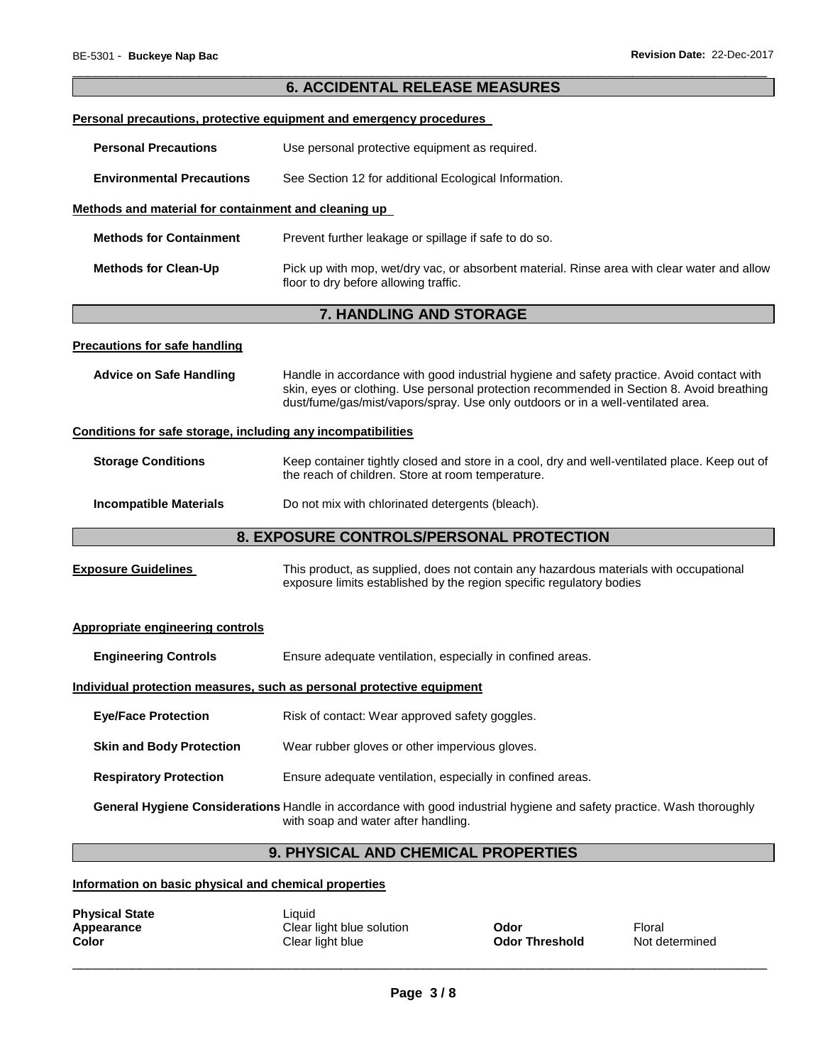|                                                              | <b>6. ACCIDENTAL RELEASE MEASURES</b>                                                                                                                                                                                                                                      |  |
|--------------------------------------------------------------|----------------------------------------------------------------------------------------------------------------------------------------------------------------------------------------------------------------------------------------------------------------------------|--|
|                                                              | Personal precautions, protective equipment and emergency procedures                                                                                                                                                                                                        |  |
| <b>Personal Precautions</b>                                  | Use personal protective equipment as required.                                                                                                                                                                                                                             |  |
| <b>Environmental Precautions</b>                             | See Section 12 for additional Ecological Information.                                                                                                                                                                                                                      |  |
| Methods and material for containment and cleaning up         |                                                                                                                                                                                                                                                                            |  |
| <b>Methods for Containment</b>                               | Prevent further leakage or spillage if safe to do so.                                                                                                                                                                                                                      |  |
| <b>Methods for Clean-Up</b>                                  | Pick up with mop, wet/dry vac, or absorbent material. Rinse area with clear water and allow<br>floor to dry before allowing traffic.                                                                                                                                       |  |
|                                                              | 7. HANDLING AND STORAGE                                                                                                                                                                                                                                                    |  |
| <b>Precautions for safe handling</b>                         |                                                                                                                                                                                                                                                                            |  |
| <b>Advice on Safe Handling</b>                               | Handle in accordance with good industrial hygiene and safety practice. Avoid contact with<br>skin, eyes or clothing. Use personal protection recommended in Section 8. Avoid breathing<br>dust/fume/gas/mist/vapors/spray. Use only outdoors or in a well-ventilated area. |  |
| Conditions for safe storage, including any incompatibilities |                                                                                                                                                                                                                                                                            |  |
| <b>Storage Conditions</b>                                    | Keep container tightly closed and store in a cool, dry and well-ventilated place. Keep out of<br>the reach of children. Store at room temperature.                                                                                                                         |  |
| <b>Incompatible Materials</b>                                | Do not mix with chlorinated detergents (bleach).                                                                                                                                                                                                                           |  |
|                                                              | 8. EXPOSURE CONTROLS/PERSONAL PROTECTION                                                                                                                                                                                                                                   |  |
| <b>Exposure Guidelines</b>                                   | This product, as supplied, does not contain any hazardous materials with occupational<br>exposure limits established by the region specific regulatory bodies                                                                                                              |  |
| <b>Appropriate engineering controls</b>                      |                                                                                                                                                                                                                                                                            |  |
| <b>Engineering Controls</b>                                  | Ensure adequate ventilation, especially in confined areas.                                                                                                                                                                                                                 |  |
|                                                              | Individual protection measures, such as personal protective equipment                                                                                                                                                                                                      |  |
| <b>Eye/Face Protection</b>                                   | Risk of contact: Wear approved safety goggles.                                                                                                                                                                                                                             |  |
| <b>Skin and Body Protection</b>                              | Wear rubber gloves or other impervious gloves.                                                                                                                                                                                                                             |  |
| <b>Respiratory Protection</b>                                | Ensure adequate ventilation, especially in confined areas.                                                                                                                                                                                                                 |  |
|                                                              | General Hygiene Considerations Handle in accordance with good industrial hygiene and safety practice. Wash thoroughly<br>with soap and water after handling.                                                                                                               |  |
| 9. PHYSICAL AND CHEMICAL PROPERTIES                          |                                                                                                                                                                                                                                                                            |  |
| Information on basic physical and chemical properties        |                                                                                                                                                                                                                                                                            |  |

**Appearance** Clear light blue solution **Odor** Floral **Color** Clear light blue **Odor Threshold** Not determined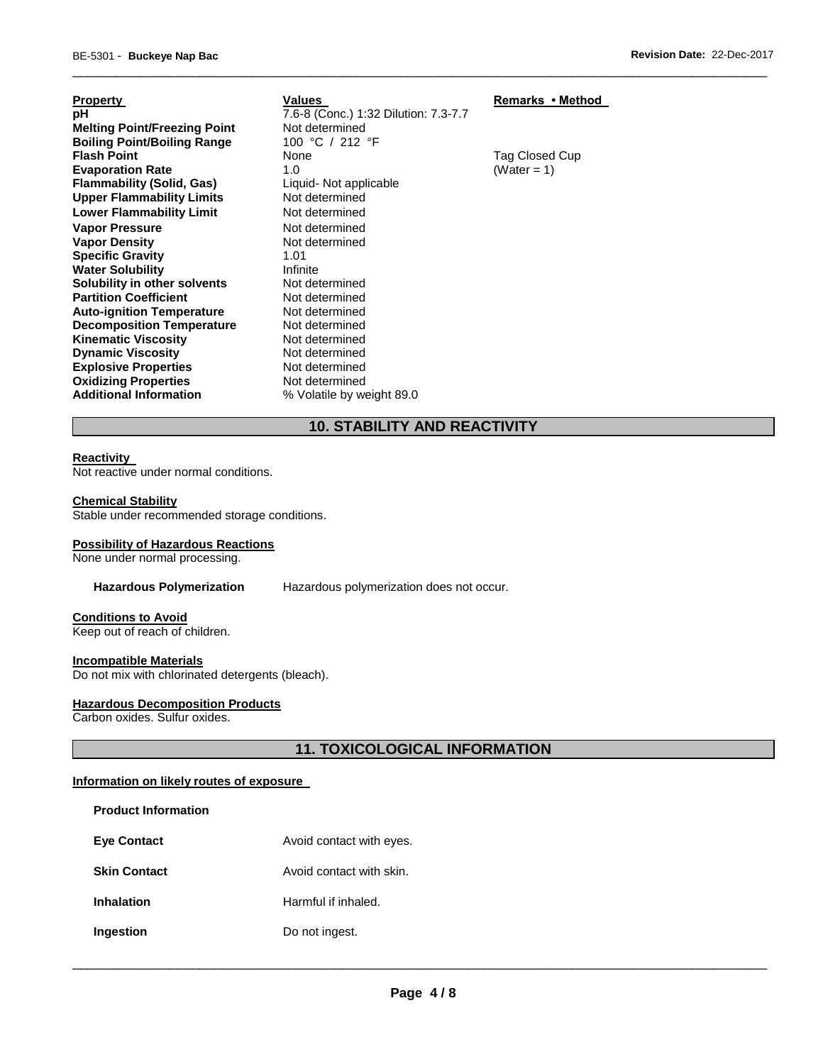| Property                            | Valu      |
|-------------------------------------|-----------|
| pН                                  | $7.6 - 8$ |
| <b>Melting Point/Freezing Point</b> | Not c     |
| <b>Boiling Point/Boiling Range</b>  | 100       |
| <b>Flash Point</b>                  | None      |
| <b>Evaporation Rate</b>             | 1.0       |
| <b>Flammability (Solid, Gas)</b>    | Liqui     |
| <b>Upper Flammability Limits</b>    | Not c     |
| <b>Lower Flammability Limit</b>     | Not c     |
| Vapor Pressure                      | Not c     |
| <b>Vapor Density</b>                | Not c     |
| <b>Specific Gravity</b>             | 1.01      |
| <b>Water Solubility</b>             | Infini    |
| Solubility in other solvents        | Not c     |
| <b>Partition Coefficient</b>        | Not c     |
| <b>Auto-ignition Temperature</b>    | Not c     |
| <b>Decomposition Temperature</b>    | Not c     |
| Kinematic Viscositv                 | Not c     |
| <b>Dynamic Viscosity</b>            | Not c     |
| <b>Explosive Properties</b>         | Not c     |
| <b>Oxidizing Properties</b>         | Not c     |
| <b>Additional Information</b>       | % Vc      |
|                                     |           |

**Property Induces Property Remarks • Method pH** 7.6-8 (Conc.) 1:32 Dilution: 7.3-7.7 **Not determined Boiling Point/Boiling Range** 100 °C / 212 °F **Flag Closed Cup Evaporation Rate** 1.0 (Water = 1) **Flammability (Solid, Gas)** Liquid- Not applicable Not determined **Not determined Not determined Not determined Infinite Not determined Not determined Not determined Not determined Not determined Not determined Not determined** Not determined **Additional Information** % Volatile by weight 89.0

# **10. STABILITY AND REACTIVITY**

\_\_\_\_\_\_\_\_\_\_\_\_\_\_\_\_\_\_\_\_\_\_\_\_\_\_\_\_\_\_\_\_\_\_\_\_\_\_\_\_\_\_\_\_\_\_\_\_\_\_\_\_\_\_\_\_\_\_\_\_\_\_\_\_\_\_\_\_\_\_\_\_\_\_\_\_\_\_\_\_\_\_\_\_\_\_\_\_\_\_\_\_\_

#### **Reactivity**

Not reactive under normal conditions.

### **Chemical Stability**

Stable under recommended storage conditions.

#### **Possibility of Hazardous Reactions**

None under normal processing.

**Hazardous Polymerization** Hazardous polymerization does not occur.

# **Conditions to Avoid**

Keep out of reach of children.

#### **Incompatible Materials**

Do not mix with chlorinated detergents (bleach).

#### **Hazardous Decomposition Products**

Carbon oxides. Sulfur oxides.

**Product Information** 

**11. TOXICOLOGICAL INFORMATION** 

# **Information on likely routes of exposure**

| Proquet information |                          |
|---------------------|--------------------------|
| <b>Eye Contact</b>  | Avoid contact with eyes. |
| <b>Skin Contact</b> | Avoid contact with skin. |
| <b>Inhalation</b>   | Harmful if inhaled.      |
| <b>Ingestion</b>    | Do not ingest.           |
|                     |                          |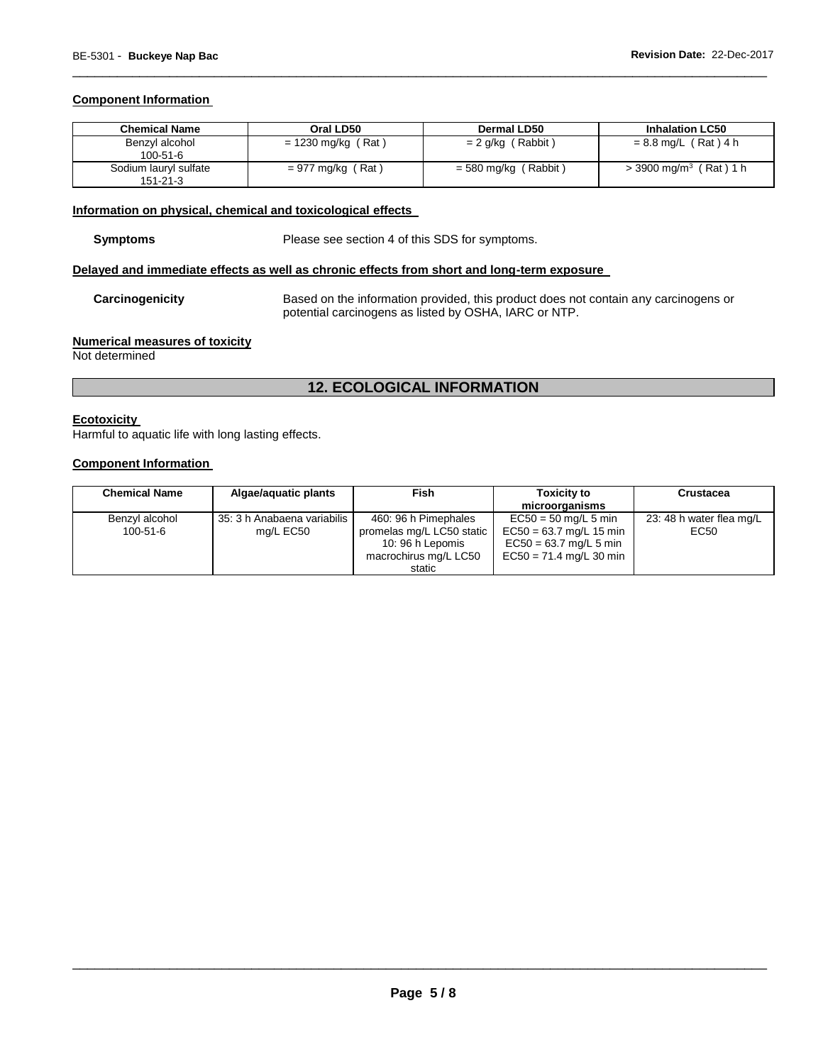## **Component Information**

| <b>Chemical Name</b>                    | Oral LD50            | Dermal LD50          | <b>Inhalation LC50</b>               |
|-----------------------------------------|----------------------|----------------------|--------------------------------------|
| Benzyl alcohol<br>$100-51-6$            | $= 1230$ mg/kg (Rat) | $= 2$ g/kg (Rabbit)  | $= 8.8$ mg/L (Rat) 4 h               |
| Sodium lauryl sulfate<br>$151 - 21 - 3$ | $= 977$ mg/kg (Rat)  | = 580 mg/kg (Rabbit) | $>$ 3900 mg/m <sup>3</sup> (Rat) 1 h |

\_\_\_\_\_\_\_\_\_\_\_\_\_\_\_\_\_\_\_\_\_\_\_\_\_\_\_\_\_\_\_\_\_\_\_\_\_\_\_\_\_\_\_\_\_\_\_\_\_\_\_\_\_\_\_\_\_\_\_\_\_\_\_\_\_\_\_\_\_\_\_\_\_\_\_\_\_\_\_\_\_\_\_\_\_\_\_\_\_\_\_\_\_

# **Information on physical, chemical and toxicological effects**

**Symptoms** Please see section 4 of this SDS for symptoms.

#### **Delayed and immediate effects as well as chronic effects from short and long-term exposure**

**Carcinogenicity** Based on the information provided, this product does not contain any carcinogens or potential carcinogens as listed by OSHA, IARC or NTP.

## **Numerical measures of toxicity**

Not determined

# **12. ECOLOGICAL INFORMATION**

### **Ecotoxicity**

Harmful to aquatic life with long lasting effects.

#### **Component Information**

| <b>Chemical Name</b>       | Algae/aguatic plants                       | Fish                                                                                                     | <b>Toxicity to</b><br>microorganisms                                                                         | <b>Crustacea</b>                 |
|----------------------------|--------------------------------------------|----------------------------------------------------------------------------------------------------------|--------------------------------------------------------------------------------------------------------------|----------------------------------|
| Benzyl alcohol<br>100-51-6 | 35: 3 h Anabaena variabilis I<br>mg/L EC50 | 460: 96 h Pimephales<br>promelas mg/L LC50 static<br>10: 96 h Lepomis<br>macrochirus mg/L LC50<br>static | $EC50 = 50$ mg/L 5 min<br>$EC50 = 63.7$ mg/L 15 min<br>$EC50 = 63.7$ mg/L 5 min<br>$EC50 = 71.4$ mg/L 30 min | 23: 48 h water flea mg/L<br>EC50 |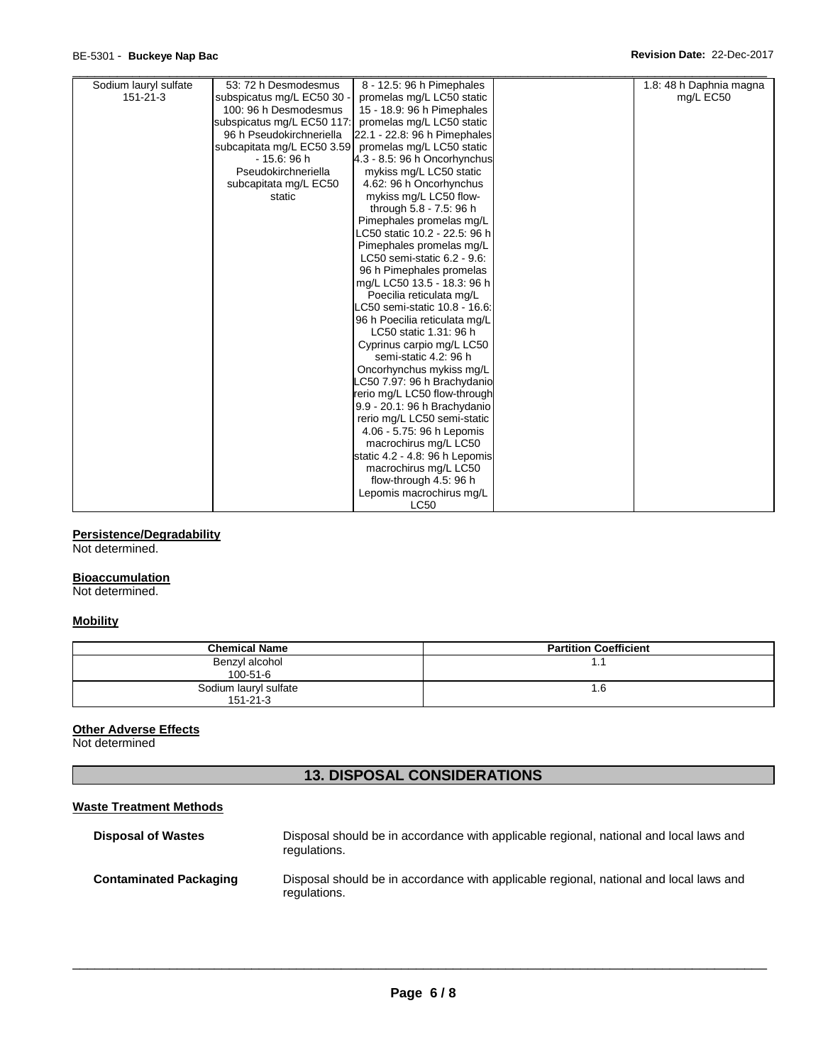# BE-5301 - **Buckeye Nap Bac Revision Date:** 22-Dec-2017

| Sodium lauryl sulfate | 53: 72 h Desmodesmus       | 8 - 12.5: 96 h Pimephales      | 1.8: 48 h Daphnia magna |
|-----------------------|----------------------------|--------------------------------|-------------------------|
| $151 - 21 - 3$        | subspicatus mg/L EC50 30   | promelas mg/L LC50 static      | mg/L EC50               |
|                       | 100: 96 h Desmodesmus      | 15 - 18.9: 96 h Pimephales     |                         |
|                       | subspicatus mg/L EC50 117: | promelas mg/L LC50 static      |                         |
|                       | 96 h Pseudokirchneriella   | 22.1 - 22.8: 96 h Pimephales   |                         |
|                       | subcapitata mg/L EC50 3.59 | promelas mg/L LC50 static      |                         |
|                       | $-15.6:96h$                | 4.3 - 8.5: 96 h Oncorhynchus   |                         |
|                       | Pseudokirchneriella        | mykiss mg/L LC50 static        |                         |
|                       | subcapitata mg/L EC50      | 4.62: 96 h Oncorhynchus        |                         |
|                       | static                     | mykiss mg/L LC50 flow-         |                         |
|                       |                            | through 5.8 - 7.5: 96 h        |                         |
|                       |                            | Pimephales promelas mg/L       |                         |
|                       |                            | LC50 static 10.2 - 22.5: 96 h  |                         |
|                       |                            | Pimephales promelas mg/L       |                         |
|                       |                            | LC50 semi-static 6.2 - 9.6:    |                         |
|                       |                            | 96 h Pimephales promelas       |                         |
|                       |                            | mg/L LC50 13.5 - 18.3: 96 h    |                         |
|                       |                            | Poecilia reticulata mg/L       |                         |
|                       |                            | LC50 semi-static 10.8 - 16.6:  |                         |
|                       |                            | 96 h Poecilia reticulata mg/L  |                         |
|                       |                            | LC50 static 1.31: 96 h         |                         |
|                       |                            | Cyprinus carpio mg/L LC50      |                         |
|                       |                            | semi-static 4.2: 96 h          |                         |
|                       |                            | Oncorhynchus mykiss mg/L       |                         |
|                       |                            | LC50 7.97: 96 h Brachydanio    |                         |
|                       |                            | rerio mg/L LC50 flow-through   |                         |
|                       |                            | 9.9 - 20.1: 96 h Brachydanio   |                         |
|                       |                            | rerio mg/L LC50 semi-static    |                         |
|                       |                            | 4.06 - 5.75: 96 h Lepomis      |                         |
|                       |                            | macrochirus mg/L LC50          |                         |
|                       |                            | static 4.2 - 4.8: 96 h Lepomis |                         |
|                       |                            | macrochirus mg/L LC50          |                         |
|                       |                            | flow-through 4.5: 96 h         |                         |
|                       |                            | Lepomis macrochirus mg/L       |                         |
|                       |                            | <b>LC50</b>                    |                         |

# **Persistence/Degradability**

Not determined.

#### **Bioaccumulation**

Not determined.

# **Mobility**

| <b>Chemical Name</b>                    | <b>Partition Coefficient</b> |
|-----------------------------------------|------------------------------|
| Benzyl alcohol<br>$100 - 51 - 6$        | ا . ا                        |
| Sodium lauryl sulfate<br>$151 - 21 - 3$ | 6. ا                         |

# **Other Adverse Effects**

Not determined

# **13. DISPOSAL CONSIDERATIONS**

# **Waste Treatment Methods**

| <b>Disposal of Wastes</b>     | Disposal should be in accordance with applicable regional, national and local laws and<br>regulations. |
|-------------------------------|--------------------------------------------------------------------------------------------------------|
| <b>Contaminated Packaging</b> | Disposal should be in accordance with applicable regional, national and local laws and<br>regulations. |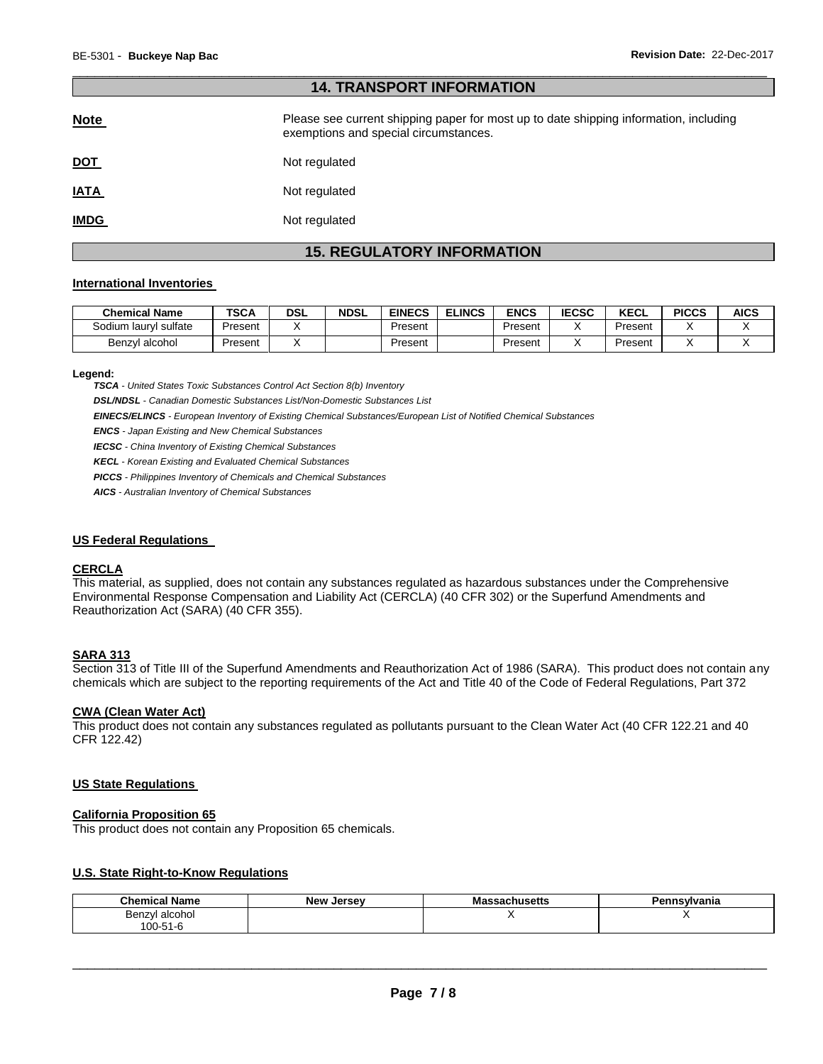# \_\_\_\_\_\_\_\_\_\_\_\_\_\_\_\_\_\_\_\_\_\_\_\_\_\_\_\_\_\_\_\_\_\_\_\_\_\_\_\_\_\_\_\_\_\_\_\_\_\_\_\_\_\_\_\_\_\_\_\_\_\_\_\_\_\_\_\_\_\_\_\_\_\_\_\_\_\_\_\_\_\_\_\_\_\_\_\_\_\_\_\_\_ **14. TRANSPORT INFORMATION**

| <b>Note</b> | Please see current shipping paper for most up to date shipping information, including<br>exemptions and special circumstances. |
|-------------|--------------------------------------------------------------------------------------------------------------------------------|
| <u>DOT</u>  | Not regulated                                                                                                                  |
| <b>IATA</b> | Not regulated                                                                                                                  |
| <b>IMDG</b> | Not regulated                                                                                                                  |

# **15. REGULATORY INFORMATION**

#### **International Inventories**

| <b>Chemical Name</b>  | <b>TSCA</b> | <b>DSL</b> | <b>NDSL</b> | <b>EINECS</b> | <b>ELINCS</b> | <b>ENCS</b> | <b>IECSC</b> | <b>KECL</b> | <b>PICCS</b> | <b>AICS</b> |
|-----------------------|-------------|------------|-------------|---------------|---------------|-------------|--------------|-------------|--------------|-------------|
| Sodium lauryl sulfate | Present     |            |             | Present       |               | Present     |              | Present     |              |             |
| Benzyl alcohol        | Present     |            |             | Present       |               | Present     |              | Present     |              |             |

#### **Legend:**

*TSCA - United States Toxic Substances Control Act Section 8(b) Inventory* 

*DSL/NDSL - Canadian Domestic Substances List/Non-Domestic Substances List* 

*EINECS/ELINCS - European Inventory of Existing Chemical Substances/European List of Notified Chemical Substances* 

*ENCS - Japan Existing and New Chemical Substances* 

*IECSC - China Inventory of Existing Chemical Substances* 

*KECL - Korean Existing and Evaluated Chemical Substances* 

*PICCS - Philippines Inventory of Chemicals and Chemical Substances* 

*AICS - Australian Inventory of Chemical Substances* 

#### **US Federal Regulations**

#### **CERCLA**

This material, as supplied, does not contain any substances regulated as hazardous substances under the Comprehensive Environmental Response Compensation and Liability Act (CERCLA) (40 CFR 302) or the Superfund Amendments and Reauthorization Act (SARA) (40 CFR 355).

# **SARA 313**

Section 313 of Title III of the Superfund Amendments and Reauthorization Act of 1986 (SARA). This product does not contain any chemicals which are subject to the reporting requirements of the Act and Title 40 of the Code of Federal Regulations, Part 372

#### **CWA (Clean Water Act)**

This product does not contain any substances regulated as pollutants pursuant to the Clean Water Act (40 CFR 122.21 and 40 CFR 122.42)

#### **US State Regulations**

#### **California Proposition 65**

This product does not contain any Proposition 65 chemicals.

# **U.S. State Right-to-Know Regulations**

| - - -<br>Chemical<br>Name | <b>New</b><br>. Jersev | achusetts۔۔۔۔۔۔۔۔۔۔۔۔۔۔۔۔۔۔۔۔۔<br>ша: | ≅vlvania |
|---------------------------|------------------------|---------------------------------------|----------|
| alcohol<br>Benzyl<br>.    |                        |                                       |          |
| $'00-51$<br>1-6           |                        |                                       |          |